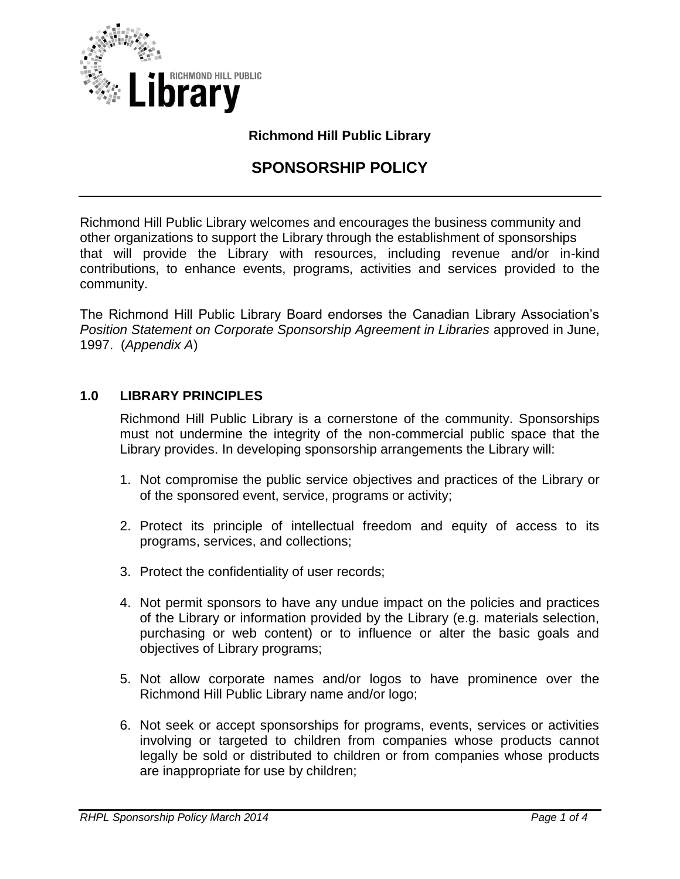

## **Richmond Hill Public Library**

# **SPONSORSHIP POLICY**

Richmond Hill Public Library welcomes and encourages the business community and other organizations to support the Library through the establishment of sponsorships that will provide the Library with resources, including revenue and/or in-kind contributions, to enhance events, programs, activities and services provided to the community.

The Richmond Hill Public Library Board endorses the Canadian Library Association's *Position Statement on Corporate Sponsorship Agreement in Libraries* approved in June, 1997. (*Appendix A*)

### **1.0 LIBRARY PRINCIPLES**

Richmond Hill Public Library is a cornerstone of the community. Sponsorships must not undermine the integrity of the non-commercial public space that the Library provides. In developing sponsorship arrangements the Library will:

- 1. Not compromise the public service objectives and practices of the Library or of the sponsored event, service, programs or activity;
- 2. Protect its principle of intellectual freedom and equity of access to its programs, services, and collections;
- 3. Protect the confidentiality of user records;
- 4. Not permit sponsors to have any undue impact on the policies and practices of the Library or information provided by the Library (e.g. materials selection, purchasing or web content) or to influence or alter the basic goals and objectives of Library programs;
- 5. Not allow corporate names and/or logos to have prominence over the Richmond Hill Public Library name and/or logo;
- 6. Not seek or accept sponsorships for programs, events, services or activities involving or targeted to children from companies whose products cannot legally be sold or distributed to children or from companies whose products are inappropriate for use by children;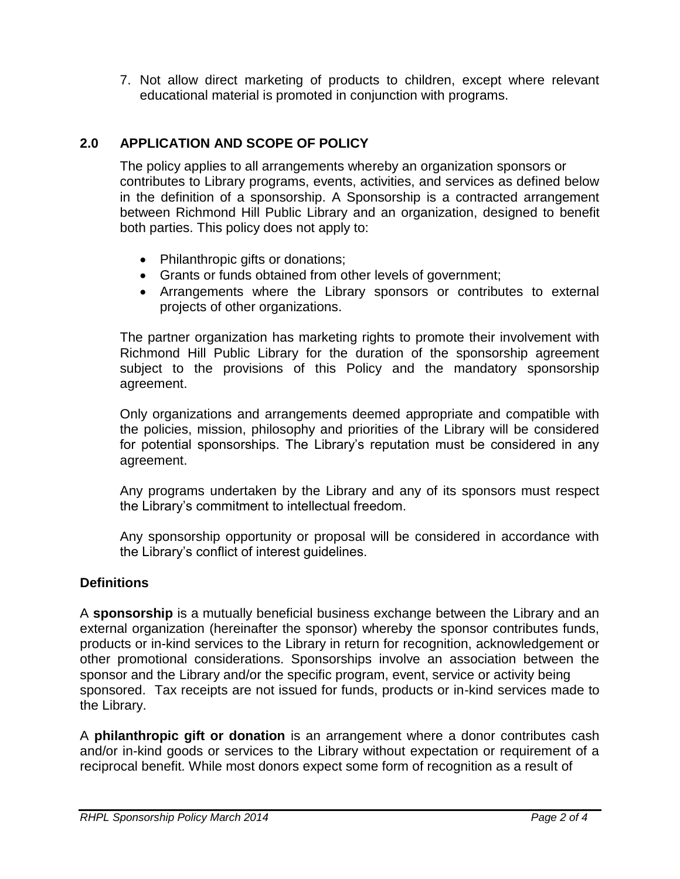7. Not allow direct marketing of products to children, except where relevant educational material is promoted in conjunction with programs.

# **2.0 APPLICATION AND SCOPE OF POLICY**

The policy applies to all arrangements whereby an organization sponsors or contributes to Library programs, events, activities, and services as defined below in the definition of a sponsorship. A Sponsorship is a contracted arrangement between Richmond Hill Public Library and an organization, designed to benefit both parties. This policy does not apply to:

- Philanthropic gifts or donations;
- Grants or funds obtained from other levels of government;
- Arrangements where the Library sponsors or contributes to external projects of other organizations.

The partner organization has marketing rights to promote their involvement with Richmond Hill Public Library for the duration of the sponsorship agreement subject to the provisions of this Policy and the mandatory sponsorship agreement.

Only organizations and arrangements deemed appropriate and compatible with the policies, mission, philosophy and priorities of the Library will be considered for potential sponsorships. The Library's reputation must be considered in any agreement.

Any programs undertaken by the Library and any of its sponsors must respect the Library's commitment to intellectual freedom.

Any sponsorship opportunity or proposal will be considered in accordance with the Library's conflict of interest guidelines.

# **Definitions**

A **sponsorship** is a mutually beneficial business exchange between the Library and an external organization (hereinafter the sponsor) whereby the sponsor contributes funds, products or in-kind services to the Library in return for recognition, acknowledgement or other promotional considerations. Sponsorships involve an association between the sponsor and the Library and/or the specific program, event, service or activity being sponsored. Tax receipts are not issued for funds, products or in-kind services made to the Library.

A **philanthropic gift or donation** is an arrangement where a donor contributes cash and/or in-kind goods or services to the Library without expectation or requirement of a reciprocal benefit. While most donors expect some form of recognition as a result of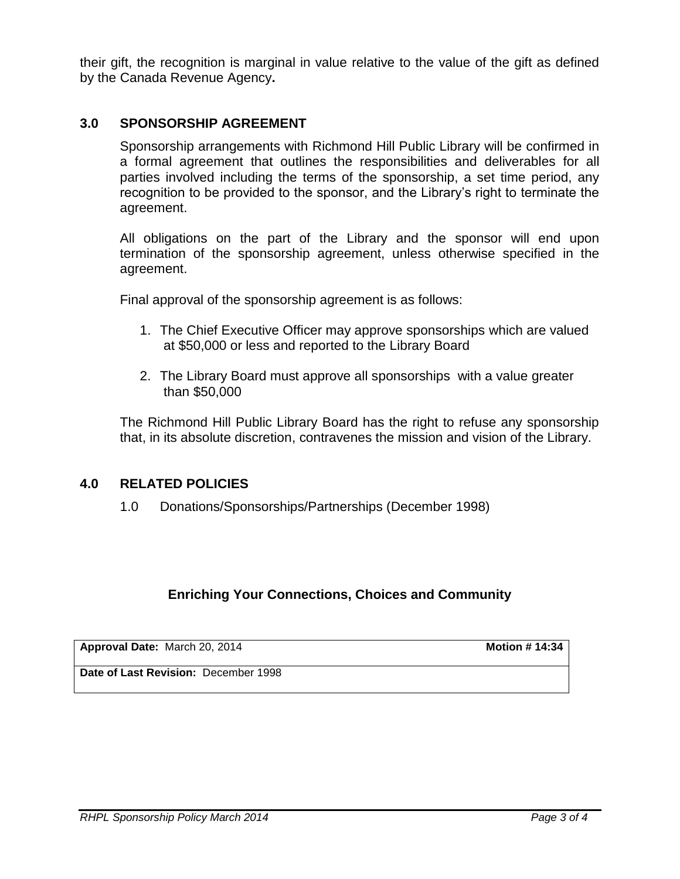their gift, the recognition is marginal in value relative to the value of the gift as defined by the Canada Revenue Agency**.**

### **3.0 SPONSORSHIP AGREEMENT**

Sponsorship arrangements with Richmond Hill Public Library will be confirmed in a formal agreement that outlines the responsibilities and deliverables for all parties involved including the terms of the sponsorship, a set time period, any recognition to be provided to the sponsor, and the Library's right to terminate the agreement.

All obligations on the part of the Library and the sponsor will end upon termination of the sponsorship agreement, unless otherwise specified in the agreement.

Final approval of the sponsorship agreement is as follows:

- 1. The Chief Executive Officer may approve sponsorships which are valued at \$50,000 or less and reported to the Library Board
- 2. The Library Board must approve all sponsorships with a value greater than \$50,000

The Richmond Hill Public Library Board has the right to refuse any sponsorship that, in its absolute discretion, contravenes the mission and vision of the Library.

#### **4.0 RELATED POLICIES**

1.0 Donations/Sponsorships/Partnerships (December 1998)

### **Enriching Your Connections, Choices and Community**

| Approval Date: March 20, 2014        | <b>Motion # 14:34</b> |
|--------------------------------------|-----------------------|
| Date of Last Revision: December 1998 |                       |